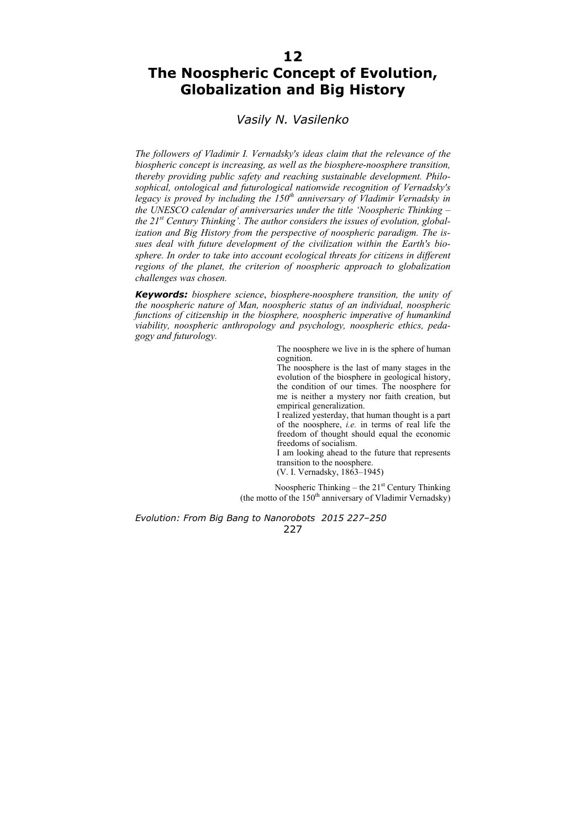# **12**

# **The Noospheric Concept of Evolution, Globalization and Big History**

## *Vasily N. Vasilenko*

*The followers of Vladimir I. Vernadsky's ideas claim that the relevance of the biospheric concept is increasing, as well as the biosphere*-*noosphere transition, thereby providing public safety and reaching sustainable development. Philosophical, ontological and futurological nationwide recognition of Vernadsky's legacy is proved by including the 150th anniversary of Vladimir Vernadsky in the UNESCO calendar of anniversaries under the title 'Noospheric Thinking – the 21st Century Thinking'. The author considers the issues of evolution, globalization and Big History from the perspective of noospheric paradigm. The issues deal with future development of the civilization within the Earth's biosphere. In order to take into account ecological threats for citizens in different regions of the planet, the criterion of noospheric approach to globalization challenges was chosen.*

*Keywords: biosphere science*, *biosphere-noosphere transition, the unity of the noospheric nature of Man, noospheric status of an individual, noospheric functions of citizenship in the biosphere, noospheric imperative of humankind viability, noospheric anthropology and psychology, noospheric ethics, pedagogy and futurology.* 

> The noosphere we live in is the sphere of human cognition.

> The noosphere is the last of many stages in the evolution of the biosphere in geological history, the condition of our times. The noosphere for me is neither a mystery nor faith creation, but empirical generalization.

> I realized yesterday, that human thought is a part of the noosphere, *i.e.* in terms of real life the freedom of thought should equal the economic freedoms of socialism.

> I am looking ahead to the future that represents transition to the noosphere.

(V. I. Vernadsky, 1863–1945)

Noospheric Thinking – the  $21<sup>st</sup>$  Century Thinking (the motto of the  $150<sup>th</sup>$  anniversary of Vladimir Vernadsky)

*Evolution: From Big Bang to Nanorobots 2015 227–250*  227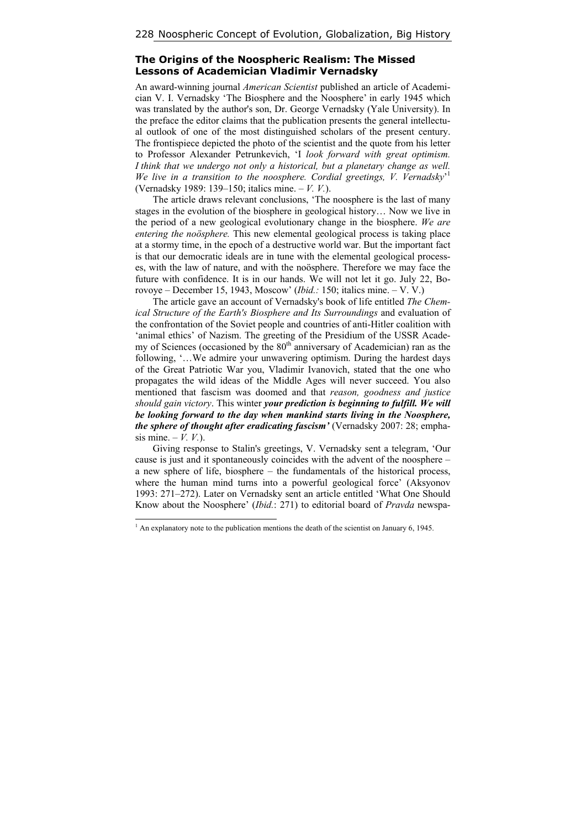## **The Origins of the Noospheric Realism: The Missed Lessons of Academician Vladimir Vernadsky**

An award-winning journal *American Scientist* published an article of Academician V. I. Vernadsky 'The Biosphere and the Noosphere' in early 1945 which was translated by the author's son, Dr. George Vernadsky (Yale University). In the preface the editor claims that the publication presents the general intellectual outlook of one of the most distinguished scholars of the present century. The frontispiece depicted the photo of the scientist and the quote from his letter to Professor Alexander Petrunkevich, 'I *look forward with great optimism. I think that we undergo not only a historical, but a planetary change as well. We live in a transition to the noosphere. Cordial greetings, V. Vernadsky*' 1 (Vernadsky 1989: 139–150; italics mine. – *V. V.*).

The article draws relevant conclusions, 'The noosphere is the last of many stages in the evolution of the biosphere in geological history… Now we live in the period of a new geological evolutionary change in the biosphere. *We are entering the noösphere.* This new elemental geological process is taking place at a stormy time, in the epoch of a destructive world war. But the important fact is that our democratic ideals are in tune with the elemental geological processes, with the law of nature, and with the noösphere. Therefore we may face the future with confidence. It is in our hands. We will not let it go. July 22, Borovoye – December 15, 1943, Moscow' (*Ibid.:* 150; italics mine. – V. V.)

The article gave an account of Vernadsky's book of life entitled *The Chemical Structure of the Earth's Biosphere and Its Surroundings* and evaluation of the confrontation of the Soviet people and countries of anti-Hitler coalition with 'animal ethics' of Nazism. The greeting of the Presidium of the USSR Academy of Sciences (occasioned by the  $80<sup>th</sup>$  anniversary of Academician) ran as the following, '…We admire your unwavering optimism. During the hardest days of the Great Patriotic War you, Vladimir Ivanovich, stated that the one who propagates the wild ideas of the Middle Ages will never succeed. You also mentioned that fascism was doomed and that *reason, goodness and justice should gain victory*. This winter *your prediction is beginning to fulfill. We will be looking forward to the day when mankind starts living in the Noosphere, the sphere of thought after eradicating fascism'* (Vernadsky 2007: 28; emphasis mine.  $-V. V.$ ).

Giving response to Stalin's greetings, V. Vernadsky sent a telegram, 'Our cause is just and it spontaneously coincides with the advent of the noosphere – a new sphere of life, biosphere – the fundamentals of the historical process, where the human mind turns into a powerful geological force' (Aksyonov 1993: 271–272). Later on Vernadsky sent an article entitled 'What One Should Know about the Noosphere' (*Ibid.*: 271) to editorial board of *Pravda* newspa-

 $\overline{a}$ 

 $<sup>1</sup>$  An explanatory note to the publication mentions the death of the scientist on January 6, 1945.</sup>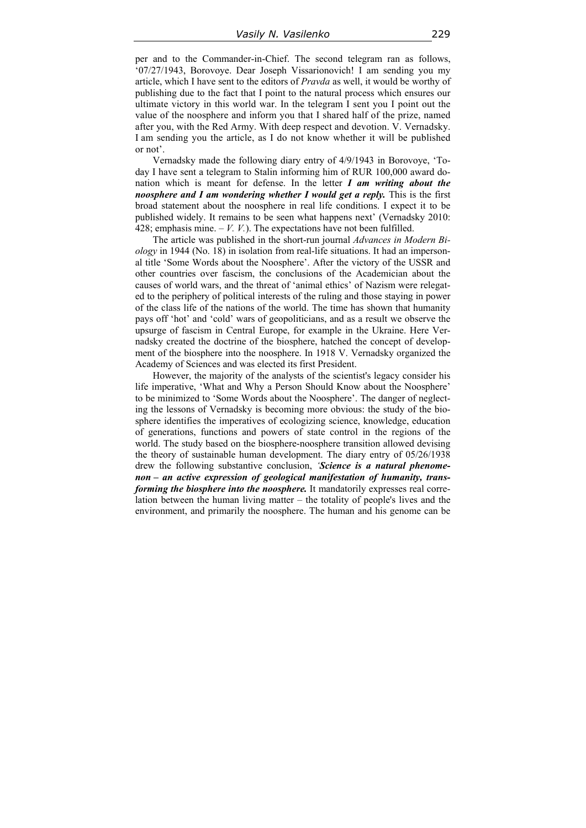per and to the Commander-in-Chief. The second telegram ran as follows, '07/27/1943, Borovoye. Dear Joseph Vissarionovich! I am sending you my article, which I have sent to the editors of *Pravda* as well, it would be worthy of publishing due to the fact that I point to the natural process which ensures our ultimate victory in this world war. In the telegram I sent you I point out the value of the noosphere and inform you that I shared half of the prize, named after you, with the Red Army. With deep respect and devotion. V. Vernadsky. I am sending you the article, as I do not know whether it will be published or not'.

Vernadsky made the following diary entry of 4/9/1943 in Borovoye, 'Today I have sent a telegram to Stalin informing him of RUR 100,000 award donation which is meant for defense. In the letter *I am writing about the noosphere and I am wondering whether I would get a reply.* This is the first broad statement about the noosphere in real life conditions. I expect it to be published widely. It remains to be seen what happens next' (Vernadsky 2010: 428; emphasis mine.  $-V$ .  $V$ .). The expectations have not been fulfilled.

The article was published in the short-run journal *Advances in Modern Biology* in 1944 (No. 18) in isolation from real-life situations. It had an impersonal title 'Some Words about the Noosphere'. After the victory of the USSR and other countries over fascism, the conclusions of the Academician about the causes of world wars, and the threat of 'animal ethics' of Nazism were relegated to the periphery of political interests of the ruling and those staying in power of the class life of the nations of the world. The time has shown that humanity pays off 'hot' and 'cold' wars of geopoliticians, and as a result we observe the upsurge of fascism in Central Europe, for example in the Ukraine. Here Vernadsky created the doctrine of the biosphere, hatched the concept of development of the biosphere into the noosphere. In 1918 V. Vernadsky organized the Academy of Sciences and was elected its first President.

However, the majority of the analysts of the scientist's legacy consider his life imperative, 'What and Why a Person Should Know about the Noosphere' to be minimized to 'Some Words about the Noosphere'. The danger of neglecting the lessons of Vernadsky is becoming more obvious: the study of the biosphere identifies the imperatives of ecologizing science, knowledge, education of generations, functions and powers of state control in the regions of the world. The study based on the biosphere-noosphere transition allowed devising the theory of sustainable human development. The diary entry of 05/26/1938 drew the following substantive conclusion, *'Science is a natural phenomenon – an active expression of geological manifestation of humanity, transforming the biosphere into the noosphere.* It mandatorily expresses real correlation between the human living matter – the totality of people's lives and the environment, and primarily the noosphere. The human and his genome can be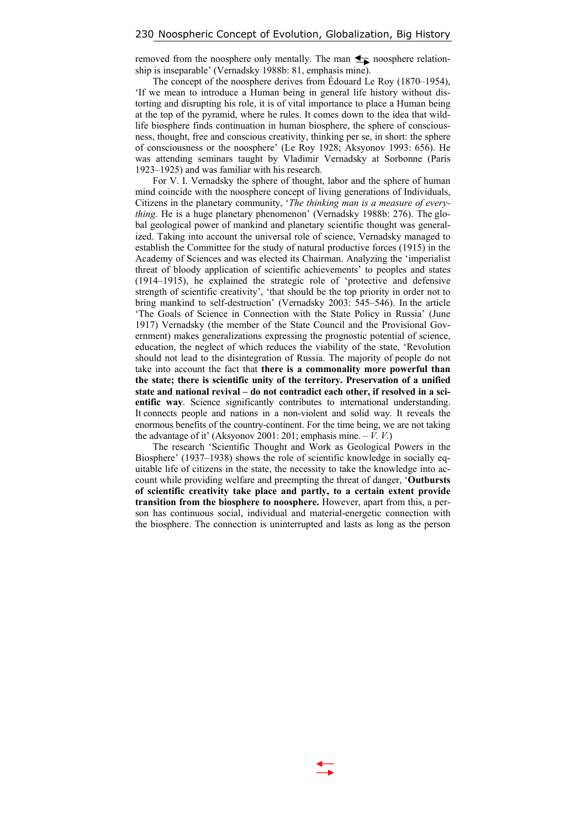removed from the noosphere only mentally. The man  $\blacktriangle$  noosphere relationship is inseparable' (Vernadsky 1988b: 81, emphasis mine).

The concept of the noosphere derives from Édouard Le Roy (1870–1954), 'If we mean to introduce a Human being in general life history without distorting and disrupting his role, it is of vital importance to place a Human being at the top of the pyramid, where he rules. It comes down to the idea that wildlife biosphere finds continuation in human biosphere, the sphere of consciousness, thought, free and conscious creativity, thinking per se, in short: the sphere of consciousness or the noosphere' (Le Roy 1928; Aksyonov 1993: 656). He was attending seminars taught by Vladimir Vernadsky at Sorbonne (Paris 1923–1925) and was familiar with his research.

For V. I. Vernadsky the sphere of thought, labor and the sphere of human mind coincide with the noosphere concept of living generations of Individuals, Citizens in the planetary community, '*The thinking man is a measure of everything.* He is a huge planetary phenomenon' (Vernadsky 1988b: 276). The global geological power of mankind and planetary scientific thought was generalized. Taking into account the universal role of science, Vernadsky managed to establish the Committee for the study of natural productive forces (1915) in the Academy of Sciences and was elected its Chairman. Analyzing the 'imperialist threat of bloody application of scientific achievements' to peoples and states (1914–1915), he explained the strategic role of 'protective and defensive strength of scientific creativity', 'that should be the top priority in order not to bring mankind to self-destruction' (Vernadsky 2003: 545–546). In the article 'The Goals of Science in Connection with the State Policy in Russia' (June 1917) Vernadsky (the member of the State Council and the Provisional Government) makes generalizations expressing the prognostic potential of science, education, the neglect of which reduces the viability of the state, 'Revolution should not lead to the disintegration of Russia. The majority of people do not take into account the fact that **there is a commonality more powerful than the state; there is scientific unity of the territory. Preservation of a unified state and national revival – do not contradict each other, if resolved in a scientific way**. Science significantly contributes to international understanding. It connects people and nations in a non-violent and solid way. It reveals the enormous benefits of the country-continent. For the time being, we are not taking the advantage of it' (Aksyonov 2001: 201; emphasis mine.  $-V. V.$ )

The research 'Scientific Thought and Work as Geological Powers in the Biosphere' (1937–1938) shows the role of scientific knowledge in socially equitable life of citizens in the state, the necessity to take the knowledge into account while providing welfare and preempting the threat of danger, '**Outbursts of scientific creativity take place and partly, to a certain extent provide transition from the biosphere to noosphere.** However, apart from this, a person has continuous social, individual and material-energetic connection with the biosphere. The connection is uninterrupted and lasts as long as the person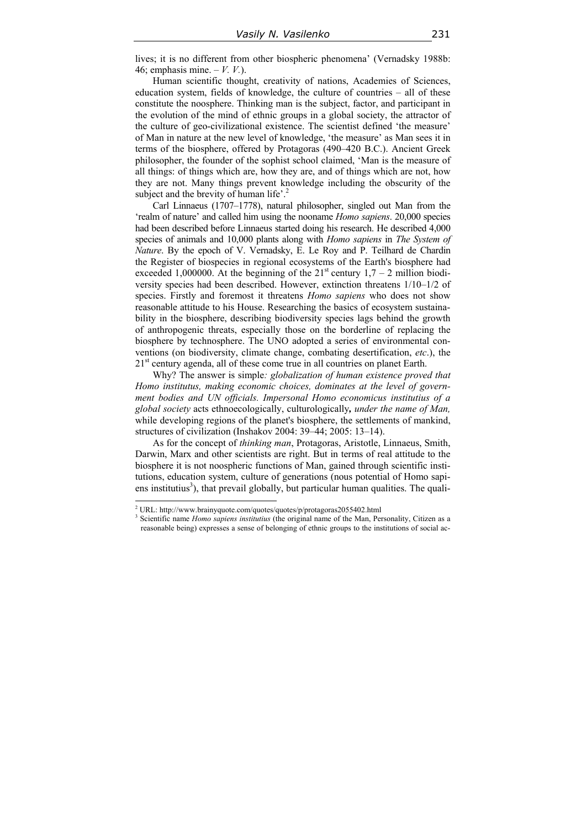lives; it is no different from other biospheric phenomena' (Vernadsky 1988b: 46; emphasis mine. – *V. V.*).

Human scientific thought, creativity of nations, Academies of Sciences, education system, fields of knowledge, the culture of countries – all of these constitute the noosphere. Thinking man is the subject, factor, and participant in the evolution of the mind of ethnic groups in a global society, the attractor of the culture of geo-civilizational existence. The scientist defined 'the measure' of Man in nature at the new level of knowledge, 'the measure' as Man sees it in terms of the biosphere, offered by Protagoras (490–420 B.C.). Ancient Greek philosopher, the founder of the sophist school claimed, 'Man is the measure of all things: of things which are, how they are, and of things which are not, how they are not. Many things prevent knowledge including the obscurity of the subject and the brevity of human life'.<sup>2</sup>

Carl Linnaeus (1707–1778), natural philosopher, singled out Man from the 'realm of nature' and called him using the nooname *Homo sapiens*. 20,000 species had been described before Linnaeus started doing his research. He described 4,000 species of animals and 10,000 plants along with *Homo sapiens* in *The System of Nature*. By the epoch of V. Vernadsky, E. Le Roy and P. Teilhard de Chardin the Register of biospecies in regional ecosystems of the Earth's biosphere had exceeded 1,000000. At the beginning of the  $21<sup>st</sup>$  century  $1.7 - 2$  million biodiversity species had been described. However, extinction threatens 1/10–1/2 of species. Firstly and foremost it threatens *Homo sapiens* who does not show reasonable attitude to his House. Researching the basics of ecosystem sustainability in the biosphere, describing biodiversity species lags behind the growth of anthropogenic threats, especially those on the borderline of replacing the biosphere by technosphere. The UNO adopted a series of environmental conventions (on biodiversity, climate change, combating desertification, *etc*.), the  $21<sup>st</sup>$  century agenda, all of these come true in all countries on planet Earth.

Why? The answer is simple*: globalization of human existence proved that Homo institutus, making economic choices, dominates at the level of government bodies and UN officials. Impersonal Homo economicus institutius of a global society* acts ethnoecologically, culturologically*, under the name of Man,* while developing regions of the planet's biosphere, the settlements of mankind, structures of civilization (Inshakov 2004: 39–44; 2005: 13–14).

As for the concept of *thinking man*, Protagoras, Aristotle, Linnaeus, Smith, Darwin, Marx and other scientists are right. But in terms of real attitude to the biosphere it is not noospheric functions of Man, gained through scientific institutions, education system, culture of generations (nous potential of Homo sapiens institutius<sup>3</sup>), that prevail globally, but particular human qualities. The quali-

 2 URL: http://www.brainyquote.com/quotes/quotes/p/protagoras2055402.html

<sup>&</sup>lt;sup>3</sup> Scientific name *Homo sapiens institutius* (the original name of the Man, Personality, Citizen as a reasonable being) expresses a sense of belonging of ethnic groups to the institutions of social ac-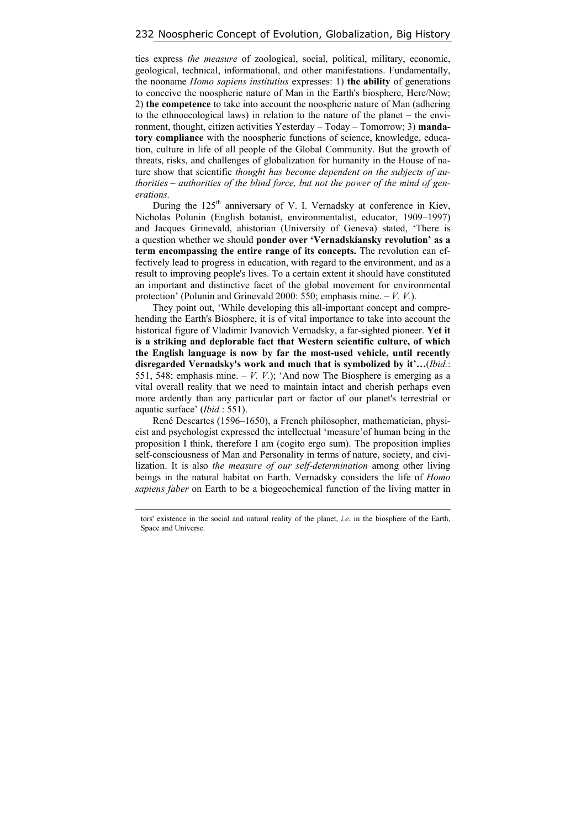ties express *the measure* of zoological, social, political, military, economic, geological, technical, informational, and other manifestations. Fundamentally, the nooname *Homo sapiens institutius* expresses: 1) **the ability** of generations to conceive the noospheric nature of Man in the Earth's biosphere, Here/Now; 2) **the competence** to take into account the noospheric nature of Man (adhering to the ethnoecological laws) in relation to the nature of the planet – the environment, thought, citizen activities Yesterday – Today – Tomorrow; 3) **mandatory compliance** with the noospheric functions of science, knowledge, education, culture in life of all people of the Global Community. But the growth of threats, risks, and challenges of globalization for humanity in the House of nature show that scientific *thought has become dependent on the subjects of authorities – authorities of the blind force, but not the power of the mind of generations.* 

During the 125<sup>th</sup> anniversary of V. I. Vernadsky at conference in Kiev, Nicholas Polunin (English botanist, environmentalist, educator, 1909–1997) and Jacques Grinevald, ahistorian (University of Geneva) stated, 'There is a question whether we should **ponder over 'Vernadskiansky revolution' as a term encompassing the entire range of its concepts.** The revolution can effectively lead to progress in education, with regard to the environment, and as a result to improving people's lives. To a certain extent it should have constituted an important and distinctive facet of the global movement for environmental protection' (Polunin and Grinevald 2000: 550; emphasis mine. – *V. V.*).

They point out, 'While developing this all-important concept and comprehending the Earth's Biosphere, it is of vital importance to take into account the historical figure of Vladimir Ivanovich Vernadsky, a far-sighted pioneer. **Yet it is а striking and deplorable fact that Western scientific culture, of which the English language is now bу far the most-used vehicle, until recently disregarded Vernadsky's work and much that is symbolized bу it'…**(*Ibid.*: 551, 548; emphasis mine.  $-V$ .  $V$ .); 'And now The Biosphere is emerging as a vital overall reality that we need to maintain intact and cherish perhaps even more ardently than any particular part or factor of our planet's terrestrial or aquatic surface' (*Ibid.*: 551).

René Descartes (1596–1650), a French philosopher, mathematician, physicist and psychologist expressed the intellectual 'measure'of human being in the proposition I think, therefore I am (cogito ergo sum). The proposition implies self-consciousness of Man and Personality in terms of nature, society, and civilization. It is also *the measure of our self-determination* among other living beings in the natural habitat on Earth. Vernadsky considers the life of *Homo sapiens faber* on Earth to be a biogeochemical function of the living matter in

tors' existence in the social and natural reality of the planet, *i.e.* in the biosphere of the Earth, Space and Universe.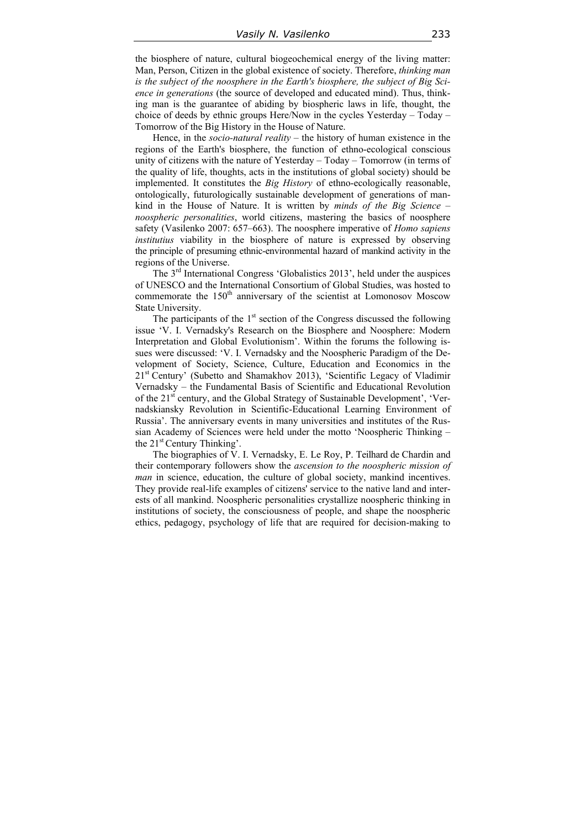the biosphere of nature, cultural biogeochemical energy of the living matter: Man, Person, Citizen in the global existence of society. Therefore, *thinking man is the subject of the noosphere in the Earth's biosphere, the subject of Big Science in generations* (the source of developed and educated mind). Thus, thinking man is the guarantee of abiding by biospheric laws in life, thought, the choice of deeds by ethnic groups Here/Now in the cycles Yesterday – Today – Tomorrow of the Big History in the House of Nature.

Hence, in the *socio-natural reality* – the history of human existence in the regions of the Earth's biosphere, the function of ethno-ecological conscious unity of citizens with the nature of Yesterday – Today – Tomorrow (in terms of the quality of life, thoughts, acts in the institutions of global society) should be implemented. It constitutes the *Big History* of ethno-ecologically reasonable, ontologically, futurologically sustainable development of generations of mankind in the House of Nature. It is written by *minds of the Big Science – noospheric personalities*, world citizens, mastering the basics of noosphere safety (Vasilenko 2007: 657–663). The noosphere imperative of *Homo sapiens institutius* viability in the biosphere of nature is expressed by observing the principle of presuming ethnic-environmental hazard of mankind activity in the regions of the Universe.

The 3rd International Congress 'Globalistics 2013', held under the auspices of UNESCO and the International Consortium of Global Studies, was hosted to commemorate the 150<sup>th</sup> anniversary of the scientist at Lomonosov Moscow State University.

The participants of the  $1<sup>st</sup>$  section of the Congress discussed the following issue 'V. I. Vernadsky's Research on the Biosphere and Noosphere: Modern Interpretation and Global Evolutionism'. Within the forums the following issues were discussed: 'V. I. Vernadsky and the Noospheric Paradigm of the Development of Society, Science, Culture, Education and Economics in the 21<sup>st</sup> Century' (Subetto and Shamakhov 2013), 'Scientific Legacy of Vladimir Vernadsky – the Fundamental Basis of Scientific and Educational Revolution of the 21<sup>st</sup> century, and the Global Strategy of Sustainable Development', 'Vernadskiansky Revolution in Scientific-Educational Learning Environment of Russia'. The anniversary events in many universities and institutes of the Russian Academy of Sciences were held under the motto 'Noospheric Thinking – the  $21^{st}$  Century Thinking'.

The biographies of V. I. Vernadsky, E. Le Roy, P. Teilhard de Chardin and their contemporary followers show the *ascension to the noospheric mission of man* in science, education, the culture of global society, mankind incentives. They provide real-life examples of citizens' service to the native land and interests of all mankind. Noospheric personalities crystallize noospheric thinking in institutions of society, the consciousness of people, and shape the noospheric ethics, pedagogy, psychology of life that are required for decision-making to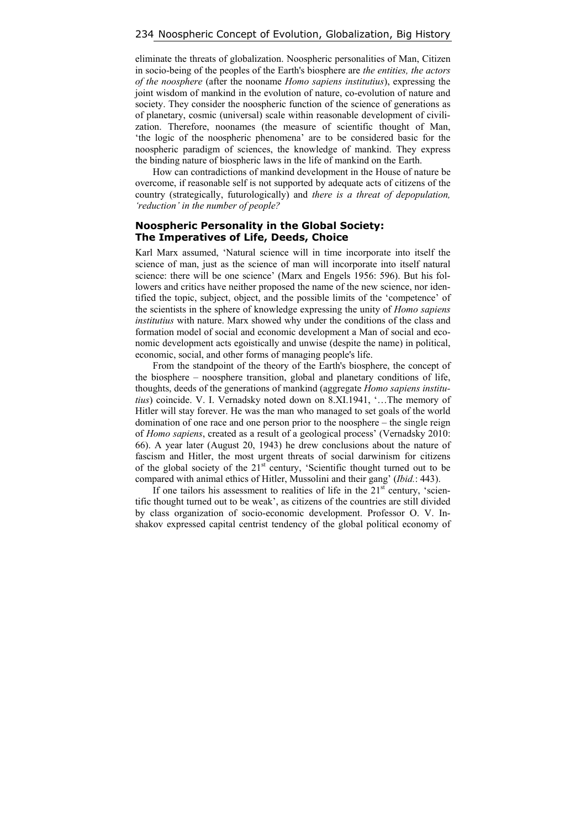eliminate the threats of globalization. Noospheric personalities of Man, Citizen in socio-being of the peoples of the Earth's biosphere are *the entities, the actors of the noosphere* (after the nooname *Homo sapiens institutius*), expressing the joint wisdom of mankind in the evolution of nature, co-evolution of nature and society. They сonsider the noospheric function of the science of generations as of planetary, cosmic (universal) scale within reasonable development of civilization. Therefore, noonames (the measure of scientific thought of Man, 'the logic of the noospheric phenomena' are to be considered basic for the noospheric paradigm of sciences, the knowledge of mankind. They express the binding nature of biospheric laws in the life of mankind on the Earth.

How can contradictions of mankind development in the House of nature be overcome, if reasonable self is not supported by adequate acts of citizens of the country (strategically, futurologically) and *there is a threat of depopulation, 'reduction' in the number of people?* 

#### **Noospheric Personality in the Global Society: The Imperatives of Life, Deeds, Choice**

Karl Marx assumed, 'Natural science will in time incorporate into itself the science of man, just as the science of man will incorporate into itself natural science: there will be one science' (Marx and Engels 1956: 596). But his followers and critics have neither proposed the name of the new science, nor identified the topic, subject, object, and the possible limits of the 'competence' of the scientists in the sphere of knowledge expressing the unity of *Homo sapiens institutius* with nature. Marx showed why under the conditions of the class and formation model of social and economic development a Man of social and economic development acts egoistically and unwise (despite the name) in political, economic, social, and other forms of managing people's life.

From the standpoint of the theory of the Earth's biosphere, the concept of the biosphere – noosphere transition, global and planetary conditions of life, thoughts, deeds of the generations of mankind (aggregate *Homo sapiens institutius*) coincide. V. I. Vernadsky noted down on 8.XI.1941, '…The memory of Hitler will stay forever. He was the man who managed to set goals of the world domination of one race and one person prior to the noosphere – the single reign of *Homo sapiens*, created as a result of a geological process' (Vernadsky 2010: 66). A year later (August 20, 1943) he drew conclusions about the nature of fascism and Hitler, the most urgent threats of social darwinism for citizens of the global society of the  $21<sup>st</sup>$  century, 'Scientific thought turned out to be compared with animal ethics of Hitler, Mussolini and their gang' (*Ibid.*: 443).

If one tailors his assessment to realities of life in the  $21<sup>st</sup>$  century, 'scientific thought turned out to be weak', as citizens of the countries are still divided by class organization of socio-economic development. Professor O. V. Inshakov expressed capital centrist tendency of the global political economy of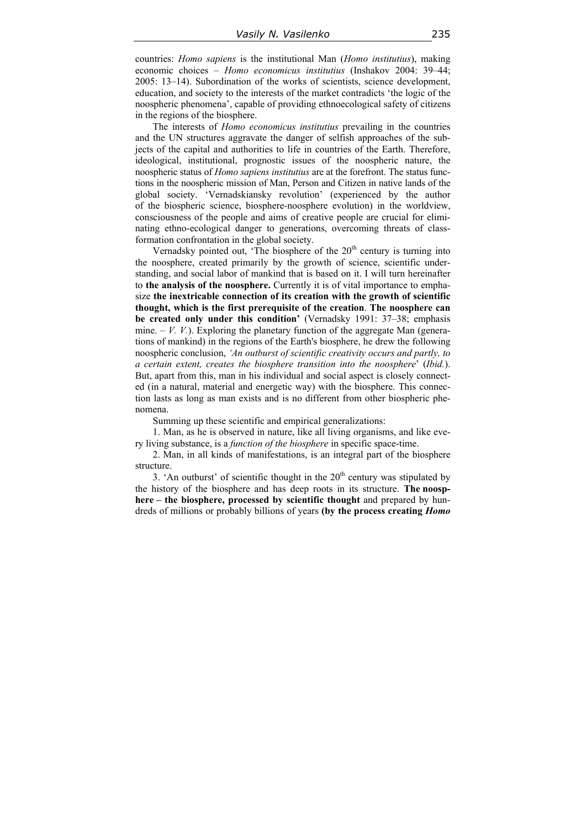countries: *Homo sapiens* is the institutional Man (*Homo institutius*), making economic choices – *Homo economicus institutius* (Inshakov 2004: 39–44; 2005: 13–14). Subordination of the works of scientists, science development, education, and society to the interests of the market contradicts 'the logic of the noospheric phenomena', capable of providing ethnoecological safety of citizens in the regions of the biosphere.

The interests of *Homo economicus institutius* prevailing in the countries and the UN structures aggravate the danger of selfish approaches of the subjects of the capital and authorities to life in countries of the Earth. Therefore, ideological, institutional, prognostic issues of the noospheric nature, the noospheric status of *Homo sapiens institutius* are at the forefront. The status functions in the noospheric mission of Man, Person and Citizen in native lands of the global society. 'Vernadskiansky revolution' (experienced by the author of the biospheric science, biosphere-noosphere evolution) in the worldview, consciousness of the people and aims of creative people are crucial for eliminating ethno-ecological danger to generations, overcoming threats of classformation confrontation in the global society.

Vernadsky pointed out, 'The biosphere of the  $20<sup>th</sup>$  century is turning into the noosphere, created primarily by the growth of science, scientific understanding, and social labor of mankind that is based on it. I will turn hereinafter to **the analysis of the noosphere.** Currently it is of vital importance to emphasize **the inextricable connection of its creation with the growth of scientific thought, which is the first prerequisite of the creation**. **The noosphere can be created only under this condition'** (Vernadsky 1991: 37–38; emphasis mine.  $-V$ ,  $V$ .). Exploring the planetary function of the aggregate Man (generations of mankind) in the regions of the Earth's biosphere, he drew the following noospheric conclusion, *'An outburst of scientific creativity occurs and partly, to a certain extent, creates the biosphere transition into the noosphere*' (*Ibid.*). But, apart from this, man in his individual and social aspect is closely connected (in a natural, material and energetic way) with the biosphere. This connection lasts as long as man exists and is no different from other biospheric phenomena.

Summing up these scientific and empirical generalizations:

1. Man, as he is observed in nature, like all living organisms, and like every living substance, is a *function of the biosphere* in specific space-time.

2. Man, in all kinds of manifestations, is an integral part of the biosphere structure.

3. 'An outburst' of scientific thought in the  $20<sup>th</sup>$  century was stipulated by the history of the biosphere and has deep roots in its structure. **The noosphere – the biosphere, processed by scientific thought** and prepared by hundreds of millions or probably billions of years **(by the process creating** *Homo*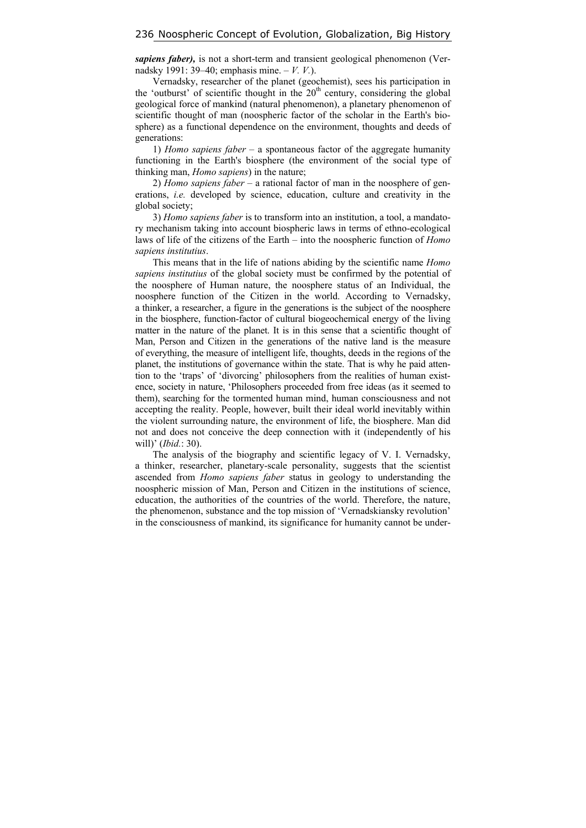*sapiens faber),* is not a short-term and transient geological phenomenon (Vernadsky 1991: 39–40; emphasis mine. – *V. V.*).

Vernadsky, researcher of the planet (geochemist), sees his participation in the 'outburst' of scientific thought in the  $20<sup>th</sup>$  century, considering the global geological force of mankind (natural phenomenon), a planetary phenomenon of scientific thought of man (noospheric factor of the scholar in the Earth's biosphere) as a functional dependence on the environment, thoughts and deeds of generations:

1) *Homo sapiens faber* – a spontaneous factor of the aggregate humanity functioning in the Earth's biosphere (the environment of the social type of thinking man, *Homo sapiens*) in the nature;

2) *Homo sapiens faber* – a rational factor of man in the noosphere of generations, *i.e.* developed by science, education, culture and creativity in the global society;

3) *Homo sapiens faber* is to transform into an institution, a tool, a mandatory mechanism taking into account biospheric laws in terms of ethno-ecological laws of life of the citizens of the Earth – into the noospheric function of *Homo sapiens institutius*.

This means that in the life of nations abiding by the scientific name *Homo sapiens institutius* of the global society must be confirmed by the potential of the noosphere of Human nature, the noosphere status of an Individual, the noosphere function of the Citizen in the world. According to Vernadsky, a thinker, a researcher, a figure in the generations is the subject of the noosphere in the biosphere, function-factor of cultural biogeochemical energy of the living matter in the nature of the planet. It is in this sense that a scientific thought of Man, Person and Citizen in the generations of the native land is the measure of everything, the measure of intelligent life, thoughts, deeds in the regions of the planet, the institutions of governance within the state. That is why he paid attention to the 'traps' of 'divorcing' philosophers from the realities of human existence, society in nature, 'Philosophers proceeded from free ideas (as it seemed to them), searching for the tormented human mind, human consciousness and not accepting the reality. People, however, built their ideal world inevitably within the violent surrounding nature, the environment of life, the biosphere. Man did not and does not conceive the deep connection with it (independently of his will)' (*Ibid.*: 30).

The analysis of the biography and scientific legacy of V. I. Vernadsky, a thinker, researcher, planetary-scale personality, suggests that the scientist ascended from *Homo sapiens faber* status in geology to understanding the noospheric mission of Man, Person and Citizen in the institutions of science, education, the authorities of the countries of the world. Therefore, the nature, the phenomenon, substance and the top mission of 'Vernadskiansky revolution' in the consciousness of mankind, its significance for humanity cannot be under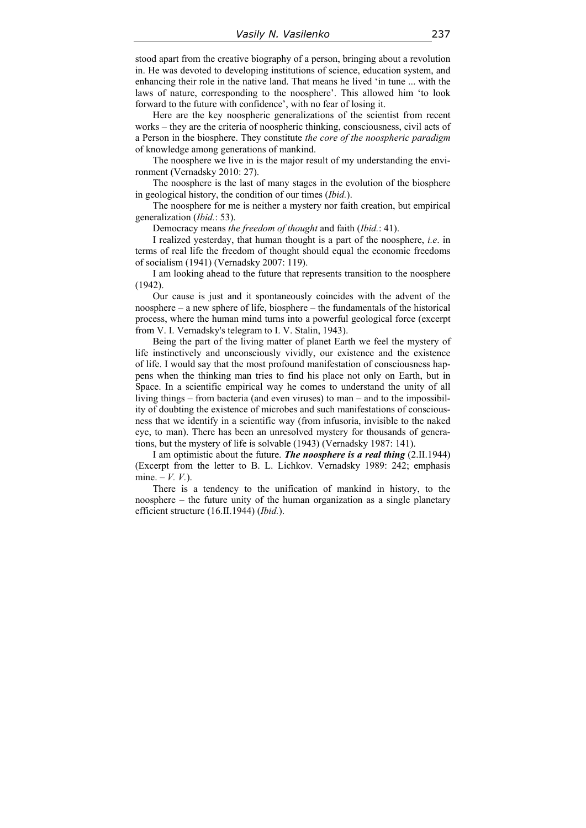stood apart from the creative biography of a person, bringing about a revolution in. He was devoted to developing institutions of science, education system, and enhancing their role in the native land. That means he lived 'in tune ... with the laws of nature, corresponding to the noosphere'. This allowed him 'to look forward to the future with confidence', with no fear of losing it.

Here are the key noospheric generalizations of the scientist from recent works – they are the criteria of noospheric thinking, consciousness, civil acts of a Person in the biosphere. They constitute *the core of the noospheric paradigm* of knowledge among generations of mankind.

The noosphere we live in is the major result of my understanding the environment (Vernadsky 2010: 27).

The noosphere is the last of many stages in the evolution of the biosphere in geological history, the condition of our times (*Ibid.*).

The noosphere for me is neither a mystery nor faith creation, but empirical generalization (*Ibid.*: 53).

Democracy means *the freedom of thought* and faith (*Ibid.*: 41).

I realized yesterday, that human thought is a part of the noosphere, *i.e*. in terms of real life the freedom of thought should equal the economic freedoms of socialism (1941) (Vernadsky 2007: 119).

I am looking ahead to the future that represents transition to the noosphere (1942).

Our cause is just and it spontaneously coincides with the advent of the noosphere – a new sphere of life, biosphere – the fundamentals of the historical process, where the human mind turns into a powerful geological force (excerpt from V. I. Vernadsky's telegram to I. V. Stalin, 1943).

Being the part of the living matter of planet Earth we feel the mystery of life instinctively and unconsciously vividly, our existence and the existence of life. I would say that the most profound manifestation of consciousness happens when the thinking man tries to find his place not only on Earth, but in Space. In a scientific empirical way he comes to understand the unity of all living things – from bacteria (and even viruses) to man – and to the impossibility of doubting the existence of microbes and such manifestations of consciousness that we identify in a scientific way (from infusoria, invisible to the naked eye, to man). There has been an unresolved mystery for thousands of generations, but the mystery of life is solvable (1943) (Vernadsky 1987: 141).

I am optimistic about the future. *The noosphere is a real thing* (2.II.1944) (Excerpt from the letter to B. L. Lichkov. Vernadsky 1989: 242; emphasis mine.  $-V. V.$ ).

There is a tendency to the unification of mankind in history, to the noosphere – the future unity of the human organization as a single planetary efficient structure (16.II.1944) (*Ibid.*).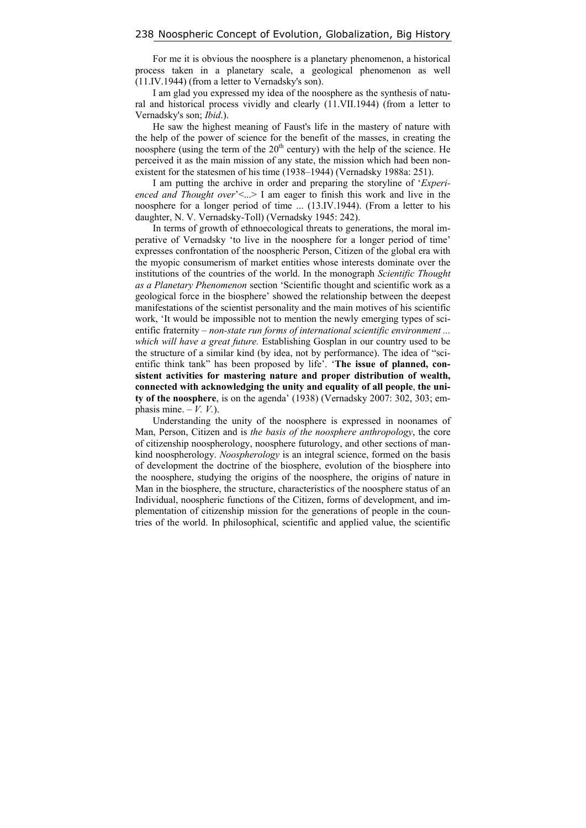For me it is obvious the noosphere is a planetary phenomenon, a historical process taken in a planetary scale, a geological phenomenon as well (11.IV.1944) (from a letter to Vernadsky's son).

I am glad you expressed my idea of the noosphere as the synthesis of natural and historical process vividly and clearly (11.VII.1944) (from a letter to Vernadsky's son; *Ibid*.).

He saw the highest meaning of Faust's life in the mastery of nature with the help of the power of science for the benefit of the masses, in creating the noosphere (using the term of the  $20<sup>th</sup>$  century) with the help of the science. He perceived it as the main mission of any state, the mission which had been nonexistent for the statesmen of his time (1938–1944) (Vernadsky 1988a: 251).

I am putting the archive in order and preparing the storyline of '*Experienced and Thought over*' $\leq$ ...> I am eager to finish this work and live in the noosphere for a longer period of time ... (13.IV.1944). (From a letter to his daughter, N. V. Vernadsky-Toll) (Vernadsky 1945: 242).

In terms of growth of ethnoecological threats to generations, the moral imperative of Vernadsky 'to live in the noosphere for a longer period of time' expresses confrontation of the noospheric Person, Citizen of the global era with the myopic consumerism of market entities whose interests dominate over the institutions of the countries of the world. In the monograph *Scientific Thought as a Planetary Phenomenon* section 'Scientific thought and scientific work as a geological force in the biosphere' showed the relationship between the deepest manifestations of the scientist personality and the main motives of his scientific work, 'It would be impossible not to mention the newly emerging types of scientific fraternity – *non-state run forms of international scientific environment ... which will have a great future.* Establishing Gosplan in our country used to be the structure of a similar kind (by idea, not by performance). The idea of "scientific think tank" has been proposed by life'. '**The issue of planned, consistent activities for mastering nature and proper distribution of wealth, connected with acknowledging the unity and equality of all people**, **the unity of the noosphere**, is on the agenda' (1938) (Vernadsky 2007: 302, 303; emphasis mine.  $-V. V.$ ).

Understanding the unity of the noosphere is expressed in noonames of Man, Person, Citizen and is *the basis of the noosphere anthropology*, the core of citizenship noospherology, noosphere futurology, and other sections of mankind noospherology. *Noospherology* is an integral science, formed on the basis of development the doctrine of the biosphere, evolution of the biosphere into the noosphere, studying the origins of the noosphere, the origins of nature in Man in the biosphere, the structure, characteristics of the noosphere status of an Individual, noospheric functions of the Citizen, forms of development, and implementation of citizenship mission for the generations of people in the countries of the world. In philosophical, scientific and applied value, the scientific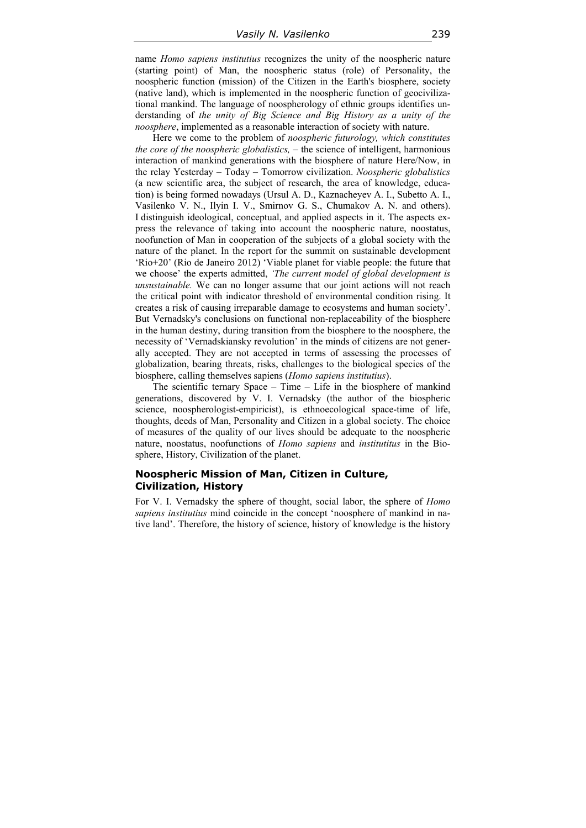name *Homo sapiens institutius* recognizes the unity of the noospheric nature (starting point) of Man, the noospheric status (role) of Personality, the noospheric function (mission) of the Citizen in the Earth's biosphere, society (native land), which is implemented in the noospheric function of geocivilizational mankind. The language of noospherology of ethnic groups identifies understanding of *the unity of Big Science and Big History as a unity of the noosphere*, implemented as a reasonable interaction of society with nature.

Here we come to the problem of *noospheric futurology, which constitutes the core of the noospheric globalistics,* – the science of intelligent, harmonious interaction of mankind generations with the biosphere of nature Here/Now, in the relay Yesterday – Today – Tomorrow civilization. *Noospheric globalistics* (a new scientific area, the subject of research, the area of knowledge, education) is being formed nowadays (Ursul A. D., Kaznacheyev A. I., Subetto A. I., Vasilenko V. N., Ilyin I. V., Smirnov G. S., Chumakov A. N. and others). I distinguish ideological, conceptual, and applied aspects in it. The aspects express the relevance of taking into account the noospheric nature, noostatus, noofunction of Man in cooperation of the subjects of a global society with the nature of the planet. In the report for the summit on sustainable development 'Rio+20' (Rio de Janeiro 2012) 'Viable planet for viable people: the future that we choose' the experts admitted, *'The current model of global development is unsustainable.* We can no longer assume that our joint actions will not reach the critical point with indicator threshold of environmental condition rising. It creates a risk of causing irreparable damage to ecosystems and human society'. But Vernadsky's conclusions on functional non-replaceability of the biosphere in the human destiny, during transition from the biosphere to the noosphere, the necessity of 'Vernadskiansky revolution' in the minds of citizens are not generally accepted. They are not accepted in terms of assessing the processes of globalization, bearing threats, risks, challenges to the biological species of the biosphere, calling themselves sapiens (*Homo sapiens institutius*).

The scientific ternary Space – Time – Life in the biosphere of mankind generations, discovered by V. I. Vernadsky (the author of the biospheric science, noospherologist-empiricist), is ethnoecological space-time of life, thoughts, deeds of Man, Personality and Citizen in a global society. The choice of measures of the quality of our lives should be adequate to the noospheric nature, noostatus, noofunctions of *Homo sapiens* and *institutitus* in the Biosphere, History, Civilization of the planet.

#### **Noospheric Mission of Man, Citizen in Culture, Civilization, History**

For V. I. Vernadsky the sphere of thought, social labor, the sphere of *Homo sapiens institutius* mind coincide in the concept 'noosphere of mankind in native land'. Therefore, the history of science, history of knowledge is the history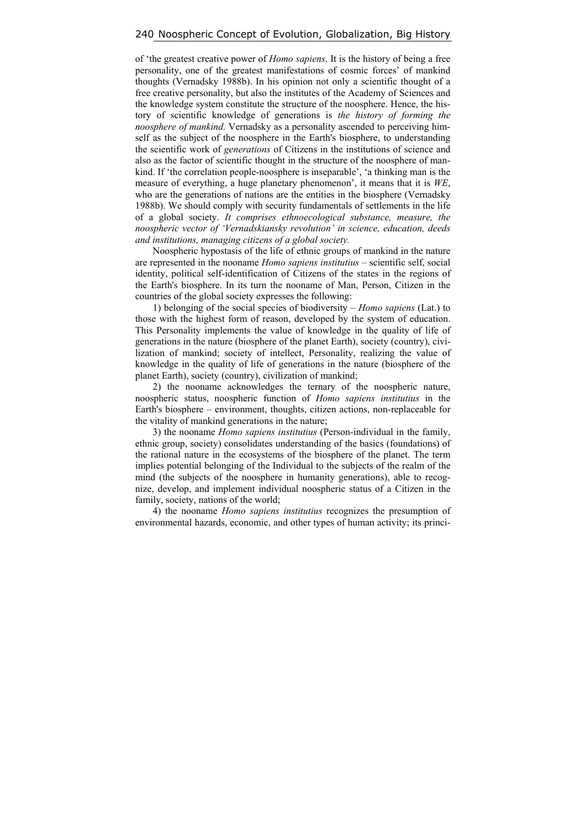of 'the greatest creative power of *Homo sapiens*. It is the history of being a free personality, one of the greatest manifestations of cosmic forces' of mankind thoughts (Vernadsky 1988b). In his opinion not only a scientific thought of a free creative personality, but also the institutes of the Academy of Sciences and the knowledge system constitute the structure of the noosphere. Hence, the history of scientific knowledge of generations is *the history of forming the noosphere of mankind.* Vernadsky as a personality ascended to perceiving himself as the subject of the noosphere in the Earth's biosphere, to understanding the scientific work of *generations* of Citizens in the institutions of science and also as the factor of scientific thought in the structure of the noosphere of mankind. If 'the correlation people-noosphere is inseparable', 'a thinking man is the measure of everything, a huge planetary phenomenon', it means that it is *WE*, who are the generations of nations are the entities in the biosphere (Vernadsky 1988b). We should comply with security fundamentals of settlements in the life of a global society. *It comprises ethnoecological substance, measure, the noospheric vector of 'Vernadskiansky revolution' in science, education, deeds and institutions, managing citizens of a global society.* 

Noospheric hypostasis of the life of ethnic groups of mankind in the nature are represented in the nooname *Homo sapiens institutius* – scientific self, social identity, political self-identification of Citizens of the states in the regions of the Earth's biosphere. In its turn the nooname of Man, Person, Citizen in the countries of the global society expresses the following:

1) belonging of the social species of biodiversity – *Homo sapiens* (Lat.) to those with the highest form of reason, developed by the system of education. This Personality implements the value of knowledge in the quality of life of generations in the nature (biosphere of the planet Earth), society (country), civilization of mankind; society of intellect, Personality, realizing the value of knowledge in the quality of life of generations in the nature (biosphere of the planet Earth), society (country), civilization of mankind;

2) the nooname acknowledges the ternary of the noospheric nature, noospheric status, noospheric function of *Homo sapiens institutius* in the Earth's biosphere – environment, thoughts, citizen actions, non-replaceable for the vitality of mankind generations in the nature;

3) the nooname *Homo sapiens institutius* (Person-individual in the family, ethnic group, society) consolidates understanding of the basics (foundations) of the rational nature in the ecosystems of the biosphere of the planet. The term implies potential belonging of the Individual to the subjects of the realm of the mind (the subjects of the noosphere in humanity generations), able to recognize, develop, and implement individual noospheric status of a Citizen in the family, society, nations of the world;

4) the nooname *Homo sapiens institutius* recognizes the presumption of environmental hazards, economic, and other types of human activity; its princi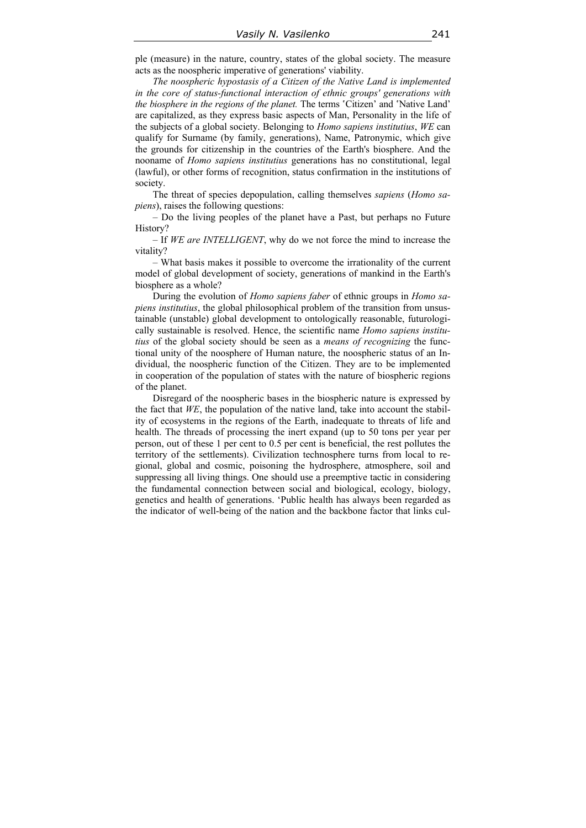ple (measure) in the nature, country, states of the global society. The measure acts as the noospheric imperative of generations' viability.

*The noospheric hypostasis of a Citizen of the Native Land is implemented in the core of status-functional interaction of ethnic groups' generations with the biosphere in the regions of the planet.* The terms 'Citizen' and 'Native Land' are capitalized, as they express basic aspects of Man, Personality in the life of the subjects of a global society. Belonging to *Homo sapiens institutius*, *WE* can qualify for Surname (by family, generations), Name, Patronymic, which give the grounds for citizenship in the countries of the Earth's biosphere. And the nooname of *Homo sapiens institutius* generations has no constitutional, legal (lawful), or other forms of recognition, status confirmation in the institutions of society.

The threat of species depopulation, calling themselves *sapiens* (*Homo sapiens*), raises the following questions:

– Do the living peoples of the planet have a Past, but perhaps no Future History?

– If *WE are INTELLIGENT*, why do we not force the mind to increase the vitality?

– What basis makes it possible to overcome the irrationality of the current model of global development of society, generations of mankind in the Earth's biosphere as a whole?

During the evolution of *Homo sapiens faber* of ethnic groups in *Homo sapiens institutius*, the global philosophical problem of the transition from unsustainable (unstable) global development to ontologically reasonable, futurologically sustainable is resolved. Hence, the scientific name *Homo sapiens institutius* of the global society should be seen as a *means of recognizing* the functional unity of the noosphere of Human nature, the noospheric status of an Individual, the noospheric function of the Citizen. They are to be implemented in cooperation of the population of states with the nature of biospheric regions of the planet.

Disregard of the noospheric bases in the biospheric nature is expressed by the fact that *WE*, the population of the native land, take into account the stability of ecosystems in the regions of the Earth, inadequate to threats of life and health. The threads of processing the inert expand (up to 50 tons per year per person, out of these 1 per cent to 0.5 per cent is beneficial, the rest pollutes the territory of the settlements). Civilization technosphere turns from local to regional, global and cosmic, poisoning the hydrosphere, atmosphere, soil and suppressing all living things. One should use a preemptive tactic in considering the fundamental connection between social and biological, ecology, biology, genetics and health of generations. 'Public health has always been regarded as the indicator of well-being of the nation and the backbone factor that links cul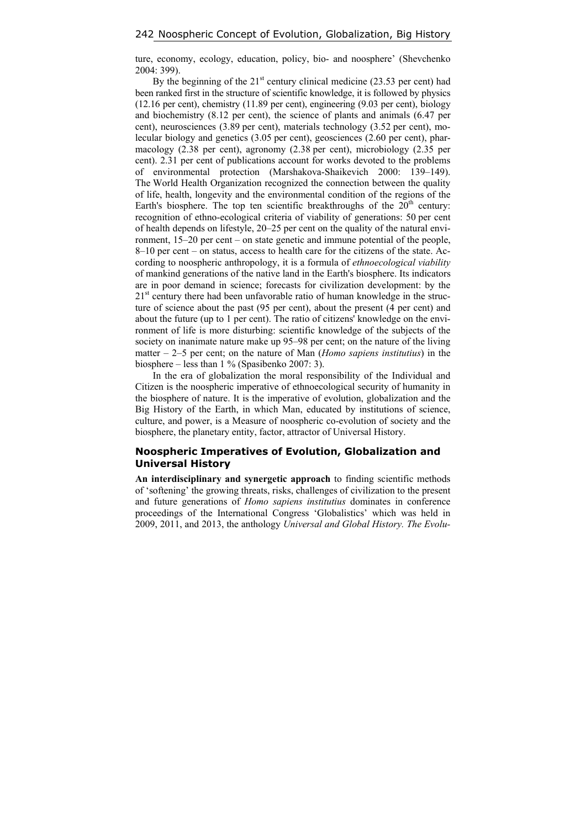ture, economy, ecology, education, policy, bio- and noosphere' (Shevchenko 2004: 399).

By the beginning of the  $21<sup>st</sup>$  century clinical medicine (23.53 per cent) had been ranked first in the structure of scientific knowledge, it is followed by physics (12.16 per cent), chemistry (11.89 per cent), engineering (9.03 per cent), biology and biochemistry (8.12 per cent), the science of plants and animals (6.47 per cent), neurosciences (3.89 per cent), materials technology (3.52 per cent), molecular biology and genetics (3.05 per cent), geosciences (2.60 per cent), pharmacology (2.38 per cent), agronomy (2.38 per cent), microbiology (2.35 per cent). 2.31 per cent of publications account for works devoted to the problems of environmental protection (Marshakova-Shaikevich 2000: 139–149). The World Health Organization recognized the connection between the quality of life, health, longevity and the environmental condition of the regions of the Earth's biosphere. The top ten scientific breakthroughs of the  $20<sup>th</sup>$  century: recognition of ethno-ecological criteria of viability of generations: 50 per cent of health depends on lifestyle, 20–25 per cent on the quality of the natural environment, 15–20 per cent – on state genetic and immune potential of the people, 8–10 per cent – on status, access to health care for the citizens of the state. According to noospheric anthropology, it is a formula of *ethnoecological viability* of mankind generations of the native land in the Earth's biosphere. Its indicators are in poor demand in science; forecasts for civilization development: by the  $21<sup>st</sup>$  century there had been unfavorable ratio of human knowledge in the structure of science about the past (95 per cent), about the present (4 per cent) and about the future (up to 1 per cent). The ratio of citizens' knowledge on the environment of life is more disturbing: scientific knowledge of the subjects of the society on inanimate nature make up 95–98 per cent; on the nature of the living matter – 2–5 per cent; on the nature of Man (*Homo sapiens institutius*) in the biosphere – less than 1 % (Spasibenko 2007: 3).

In the era of globalization the moral responsibility of the Individual and Citizen is the noospheric imperative of ethnoecological security of humanity in the biosphere of nature. It is the imperative of evolution, globalization and the Big History of the Earth, in which Man, educated by institutions of science, culture, and power, is a Measure of noospheric co-evolution of society and the biosphere, the planetary entity, factor, attractor of Universal History.

### **Noospheric Imperatives of Evolution, Globalization and Universal History**

**An interdisciplinary and synergetic approach** to finding scientific methods of 'softening' the growing threats, risks, challenges of civilization to the present and future generations of *Homo sapiens institutius* dominates in conference proceedings of the International Congress 'Globalistics' which was held in 2009, 2011, and 2013, the anthology *Universal and Global History. The Evolu-*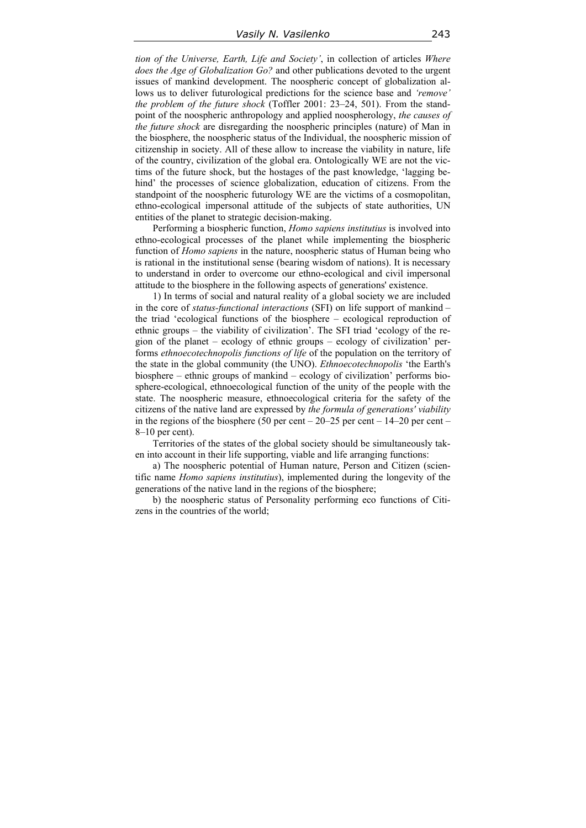*tion of the Universe, Earth, Life and Society'*, in collection of articles *Where does the Age of Globalization Go?* and other publications devoted to the urgent issues of mankind development. The noospheric concept of globalization allows us to deliver futurological predictions for the science base and *'remove' the problem of the future shock* (Toffler 2001: 23–24, 501). From the standpoint of the noospheric anthropology and applied noospherology, *the causes of the future shock* are disregarding the noospheric principles (nature) of Man in the biosphere, the noospheric status of the Individual, the noospheric mission of citizenship in society. All of these allow to increase the viability in nature, life of the country, civilization of the global era. Ontologically WE are not the victims of the future shock, but the hostages of the past knowledge, 'lagging behind' the processes of science globalization, education of citizens. From the standpoint of the noospheric futurology WE are the victims of a cosmopolitan, ethno-ecological impersonal attitude of the subjects of state authorities, UN entities of the planet to strategic decision-making.

Performing a biospheric function, *Homo sapiens institutius* is involved into ethno-ecological processes of the planet while implementing the biospheric function of *Homo sapiens* in the nature, noospheric status of Human being who is rational in the institutional sense (bearing wisdom of nations). It is necessary to understand in order to overcome our ethno-ecological and civil impersonal attitude to the biosphere in the following aspects of generations' existence.

1) In terms of social and natural reality of a global society we are included in the core of *status-functional interactions* (SFI) on life support of mankind – the triad 'ecological functions of the biosphere – ecological reproduction of ethnic groups – the viability of civilization'. The SFI triad 'ecology of the region of the planet – ecology of ethnic groups – ecology of civilization' performs *ethnoecotechnopolis functions of life* of the population on the territory of the state in the global community (the UNO). *Ethnoecotechnopolis* 'the Earth's biosphere – ethnic groups of mankind – ecology of civilization' performs biosphere-ecological, ethnoecological function of the unity of the people with the state. The noospheric measure, ethnoecological criteria for the safety of the citizens of the native land are expressed by *the formula of generations' viability*  in the regions of the biosphere (50 per cent –  $20-25$  per cent –  $14-20$  per cent – 8–10 per cent).

Territories of the states of the global society should be simultaneously taken into account in their life supporting, viable and life arranging functions:

a) The noospheric potential of Human nature, Person and Citizen (scientific name *Homo sapiens institutius*), implemented during the longevity of the generations of the native land in the regions of the biosphere;

b) the noospheric status of Personality performing eco functions of Citizens in the countries of the world;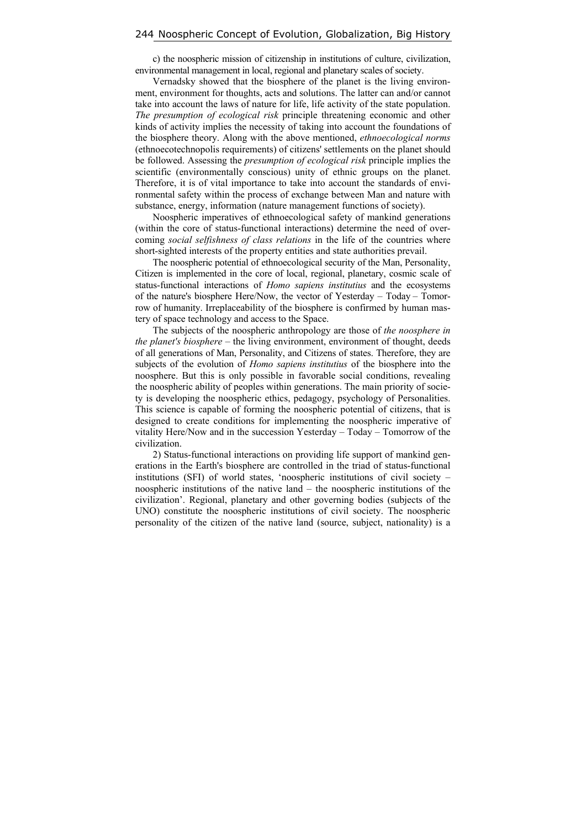c) the noospheric mission of citizenship in institutions of culture, civilization, environmental management in local, regional and planetary scales of society.

Vernadsky showed that the biosphere of the planet is the living environment, environment for thoughts, acts and solutions. The latter can and/or cannot take into account the laws of nature for life, life activity of the state population. *The presumption of ecological risk* principle threatening economic and other kinds of activity implies the necessity of taking into account the foundations of the biosphere theory. Along with the above mentioned, *ethnoecological norms* (ethnoecotechnopolis requirements) of citizens' settlements on the planet should be followed. Assessing the *presumption of ecological risk* principle implies the scientific (environmentally conscious) unity of ethnic groups on the planet. Therefore, it is of vital importance to take into account the standards of environmental safety within the process of exchange between Man and nature with substance, energy, information (nature management functions of society).

Noospheric imperatives of ethnoecological safety of mankind generations (within the core of status-functional interactions) determine the need of overcoming *social selfishness of class relations* in the life of the countries where short-sighted interests of the property entities and state authorities prevail.

The noospheric potential of ethnoecological security of the Man, Personality, Citizen is implemented in the core of local, regional, planetary, cosmic scale of status-functional interactions of *Homo sapiens institutius* and the ecosystems of the nature's biosphere Here/Now, the vector of Yesterday – Today – Tomorrow of humanity. Irreplaceability of the biosphere is confirmed by human mastery of space technology and access to the Space.

The subjects of the noospheric anthropology are those of *the noosphere in the planet's biosphere* – the living environment, environment of thought, deeds of all generations of Man, Personality, and Citizens of states. Therefore, they are subjects of the evolution of *Homo sapiens institutius* of the biosphere into the noosphere. But this is only possible in favorable social conditions, revealing the noospheric ability of peoples within generations. The main priority of society is developing the noospheric ethics, pedagogy, psychology of Personalities. This science is capable of forming the noospheric potential of citizens, that is designed to create conditions for implementing the noospheric imperative of vitality Here/Now and in the succession Yesterday – Today – Tomorrow of the civilization.

2) Status-functional interactions on providing life support of mankind generations in the Earth's biosphere are controlled in the triad of status-functional institutions (SFI) of world states, 'noospheric institutions of civil society – noospheric institutions of the native land – the noospheric institutions of the civilization'. Regional, planetary and other governing bodies (subjects of the UNO) constitute the noospheric institutions of civil society. The noospheric personality of the citizen of the native land (source, subject, nationality) is a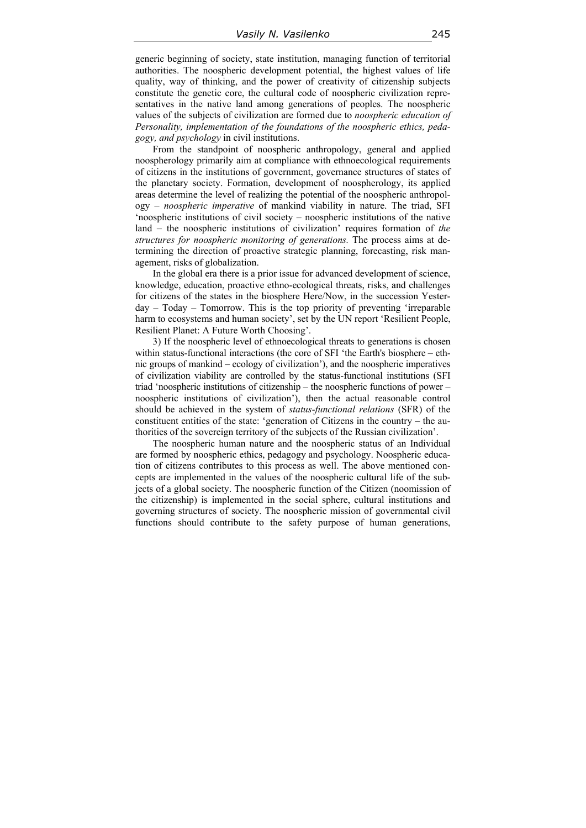generic beginning of society, state institution, managing function of territorial authorities. The noospheric development potential, the highest values of life quality, way of thinking, and the power of creativity of citizenship subjects constitute the genetic core, the cultural code of noospheric civilization representatives in the native land among generations of peoples. The noospheric values of the subjects of civilization are formed due to *noospheric education of Personality, implementation of the foundations of the noospheric ethics, pedagogy, and psychology* in civil institutions.

From the standpoint of noospheric anthropology, general and applied noospherology primarily aim at compliance with ethnoecological requirements of citizens in the institutions of government, governance structures of states of the planetary society. Formation, development of noospherology, its applied areas determine the level of realizing the potential of the noospheric anthropology – *noospheric imperative* of mankind viability in nature. The triad, SFI 'noospheric institutions of civil society – noospheric institutions of the native land – the noospheric institutions of civilization' requires formation of *the structures for noospheric monitoring of generations.* The process aims at determining the direction of proactive strategic planning, forecasting, risk management, risks of globalization.

In the global era there is a prior issue for advanced development of science, knowledge, education, proactive ethno-ecological threats, risks, and challenges for citizens of the states in the biosphere Here/Now, in the succession Yesterday – Today – Tomorrow. This is the top priority of preventing 'irreparable harm to ecosystems and human society', set by the UN report 'Resilient People, Resilient Planet: A Future Worth Choosing'.

3) If the noospheric level of ethnoecological threats to generations is chosen within status-functional interactions (the core of SFI 'the Earth's biosphere – ethnic groups of mankind – ecology of civilization'), and the noospheric imperatives of civilization viability are controlled by the status-functional institutions (SFI triad 'noospheric institutions of citizenship – the noospheric functions of power – noospheric institutions of civilization'), then the actual reasonable control should be achieved in the system of *status-functional relations* (SFR) of the constituent entities of the state: 'generation of Citizens in the country – the authorities of the sovereign territory of the subjects of the Russian civilization'.

The noospheric human nature and the noospheric status of an Individual are formed by noospheric ethics, pedagogy and psychology. Noospheric education of citizens contributes to this process as well. The above mentioned concepts are implemented in the values of the noospheric cultural life of the subjects of a global society. The noospheric function of the Citizen (noomission of the citizenship) is implemented in the social sphere, cultural institutions and governing structures of society. The noospheric mission of governmental civil functions should contribute to the safety purpose of human generations,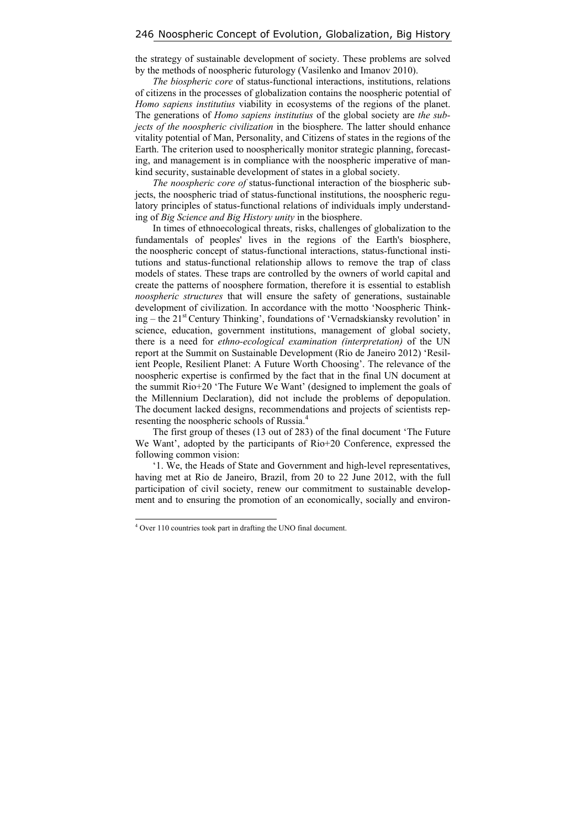the strategy of sustainable development of society. These problems are solved by the methods of noospheric futurology (Vasilenko and Imanov 2010).

*The biospheric core* of status-functional interactions, institutions, relations of citizens in the processes of globalization contains the noospheric potential of *Homo sapiens institutius* viability in ecosystems of the regions of the planet. The generations of *Homo sapiens institutius* of the global society are *the subjects of the noospheric civilization* in the biosphere. The latter should enhance vitality potential of Man, Personality, and Citizens of states in the regions of the Earth. The criterion used to noospherically monitor strategic planning, forecasting, and management is in compliance with the noospheric imperative of mankind security, sustainable development of states in a global society.

*The noospheric core of* status-functional interaction of the biospheric subjects, the noospheric triad of status-functional institutions, the noospheric regulatory principles of status-functional relations of individuals imply understanding of *Big Science and Big History unity* in the biosphere.

In times of ethnoecological threats, risks, challenges of globalization to the fundamentals of peoples' lives in the regions of the Earth's biosphere, the noospheric concept of status-functional interactions, status-functional institutions and status-functional relationship allows to remove the trap of class models of states. These traps are controlled by the owners of world capital and create the patterns of noosphere formation, therefore it is essential to establish *noospheric structures* that will ensure the safety of generations, sustainable development of civilization. In accordance with the motto 'Noospheric Thinking – the 21<sup>st</sup> Century Thinking', foundations of 'Vernadskiansky revolution' in science, education, government institutions, management of global society, there is a need for *ethno-ecological examination (interpretation)* of the UN report at the Summit on Sustainable Development (Rio de Janeiro 2012) 'Resilient People, Resilient Planet: A Future Worth Choosing'. The relevance of the noospheric expertise is confirmed by the fact that in the final UN document at the summit Rio+20 'The Future We Want' (designed to implement the goals of the Millennium Declaration), did not include the problems of depopulation. The document lacked designs, recommendations and projects of scientists representing the noospheric schools of Russia.4

The first group of theses (13 out of 283) of the final document 'The Future We Want', adopted by the participants of Rio+20 Conference, expressed the following common vision:

'1. We, the Heads of State and Government and high-level representatives, having met at Rio de Janeiro, Brazil, from 20 to 22 June 2012, with the full participation of civil society, renew our commitment to sustainable development and to ensuring the promotion of an economically, socially and environ-

 $\overline{a}$ 

<sup>4</sup> Over 110 countries took part in drafting the UNO final document.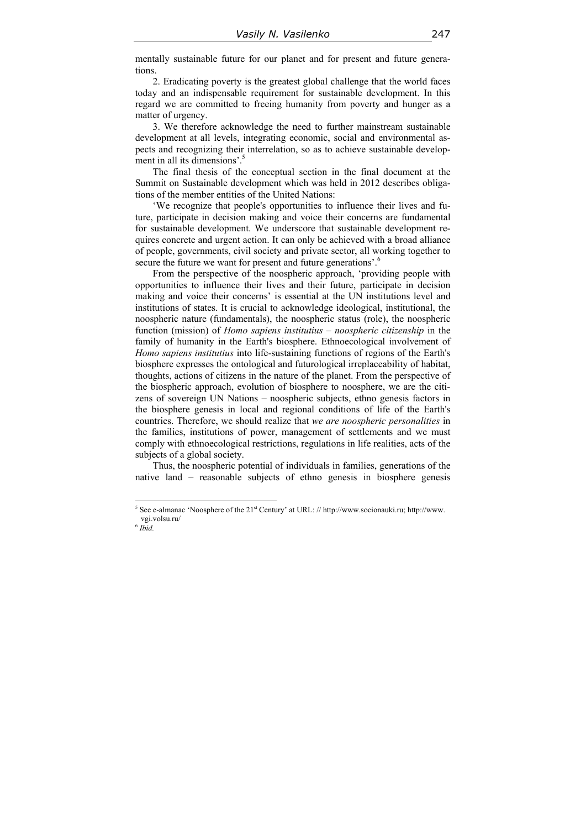mentally sustainable future for our planet and for present and future generations.

2. Eradicating poverty is the greatest global challenge that the world faces today and an indispensable requirement for sustainable development. In this regard we are committed to freeing humanity from poverty and hunger as a matter of urgency.

3. We therefore acknowledge the need to further mainstream sustainable development at all levels, integrating economic, social and environmental aspects and recognizing their interrelation, so as to achieve sustainable development in all its dimensions'. $\frac{3}{5}$ 

The final thesis of the conceptual section in the final document at the Summit on Sustainable development which was held in 2012 describes obligations of the member entities of the United Nations:

'We recognize that people's opportunities to influence their lives and future, participate in decision making and voice their concerns are fundamental for sustainable development. We underscore that sustainable development requires concrete and urgent action. It can only be achieved with a broad alliance of people, governments, civil society and private sector, all working together to secure the future we want for present and future generations'.<sup>6</sup>

From the perspective of the noospheric approach, 'providing people with opportunities to influence their lives and their future, participate in decision making and voice their concerns' is essential at the UN institutions level and institutions of states. It is crucial to acknowledge ideological, institutional, the noospheric nature (fundamentals), the noospheric status (role), the noospheric function (mission) of *Homo sapiens institutius* – *noospheric citizenship* in the family of humanity in the Earth's biosphere. Ethnoecological involvement of *Homo sapiens institutius* into life-sustaining functions of regions of the Earth's biosphere expresses the ontological and futurological irreplaceability of habitat, thoughts, actions of citizens in the nature of the planet. From the perspective of the biospheric approach, evolution of biosphere to noosphere, we are the citizens of sovereign UN Nations – noospheric subjects, ethno genesis factors in the biosphere genesis in local and regional conditions of life of the Earth's countries. Therefore, we should realize that *we are noospheric personalities* in the families, institutions of power, management of settlements and we must comply with ethnoecological restrictions, regulations in life realities, acts of the subjects of a global society.

Thus, the noospheric potential of individuals in families, generations of the native land – reasonable subjects of ethno genesis in biosphere genesis

 $\overline{a}$ 

<sup>&</sup>lt;sup>5</sup> See e-almanac 'Noosphere of the  $21^{st}$  Century' at URL: // http://www.socionauki.ru; http://www. vgi.volsu.ru/

 $^6$   $\bar{I} \bar{b} \bar{i} d.$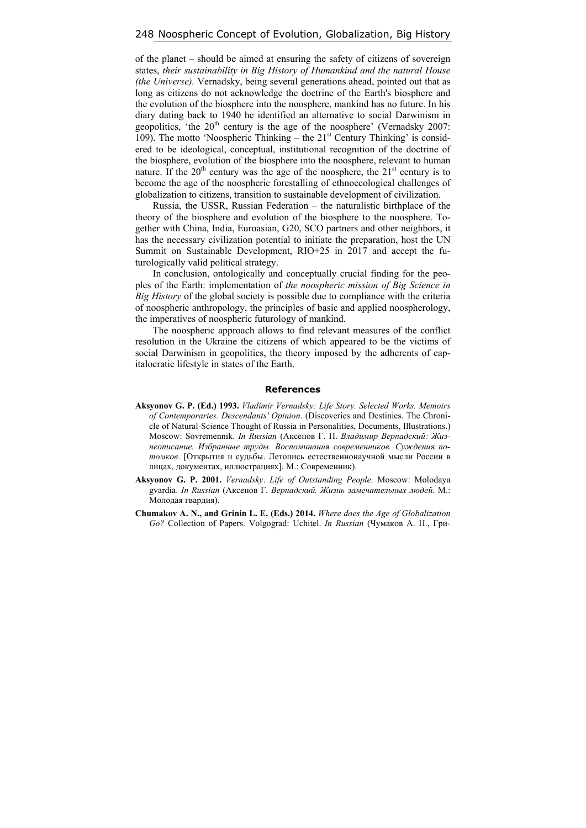of the planet – should be aimed at ensuring the safety of citizens of sovereign states, *their sustainability in Big History of Humankind and the natural House (the Universe).* Vernadsky, being several generations ahead, pointed out that as long as citizens do not acknowledge the doctrine of the Earth's biosphere and the evolution of the biosphere into the noosphere, mankind has no future. In his diary dating back to 1940 he identified an alternative to social Darwinism in geopolitics, 'the  $20<sup>th</sup>$  century is the age of the noosphere' (Vernadsky  $2007$ : 109). The motto 'Noospheric Thinking – the  $21<sup>st</sup>$  Century Thinking' is considered to be ideological, conceptual, institutional recognition of the doctrine of the biosphere, evolution of the biosphere into the noosphere, relevant to human nature. If the  $20<sup>th</sup>$  century was the age of the noosphere, the  $21<sup>st</sup>$  century is to become the age of the noospheric forestalling of ethnoecological challenges of globalization to citizens, transition to sustainable development of civilization.

Russia, the USSR, Russian Federation – the naturalistic birthplace of the theory of the biosphere and evolution of the biosphere to the noosphere. Together with China, India, Euroasian, G20, SCO partners and other neighbors, it has the necessary civilization potential to initiate the preparation, host the UN Summit on Sustainable Development, RIO+25 in 2017 and accept the futurologically valid political strategy.

In conclusion, ontologically and conceptually crucial finding for the peoples of the Earth: implementation of *the noospheric mission of Big Science in Big History* of the global society is possible due to compliance with the criteria of noospheric anthropology, the principles of basic and applied noospherology, the imperatives of noospheric futurology of mankind.

The noospheric approach allows to find relevant measures of the conflict resolution in the Ukraine the citizens of which appeared to be the victims of social Darwinism in geopolitics, the theory imposed by the adherents of capitalocratic lifestyle in states of the Earth.

#### **References**

- **Aksyonov G. P. (Ed.) 1993.** *Vladimir Vernadsky: Life Story. Selected Works. Memoirs of Contemporaries. Descendants' Opinion*. (Discoveries and Destinies. The Chronicle of Natural-Science Thought of Russia in Personalities, Documents, Illustrations.) Moscow: Sovremennik. *In Russian* (Аксенов Г. П. *Владимир Вернадский: Жизнеописание. Избранные труды. Воспоминания современников. Суждения потомков*. [Открытия и судьбы. Летопись естественнонаучной мысли России в лицах, документах, иллюстрациях]. М.: Современник).
- **Aksyonov G. P. 2001.** *Vernadsky*. *Life of Outstanding People.* Moscow: Molodaya gvardia. *In Russian* (Аксенов Г. *Вернадский. Жизнь замечательных людей.* М.: Молодая гвардия).
- **Chumakov A. N., and Grinin L. E. (Eds.) 2014.** *Where does the Аge of Globalization Go?* Collection of Papers. Volgograd: Uchitel. *In Russian* (Чумаков А. Н., Гри-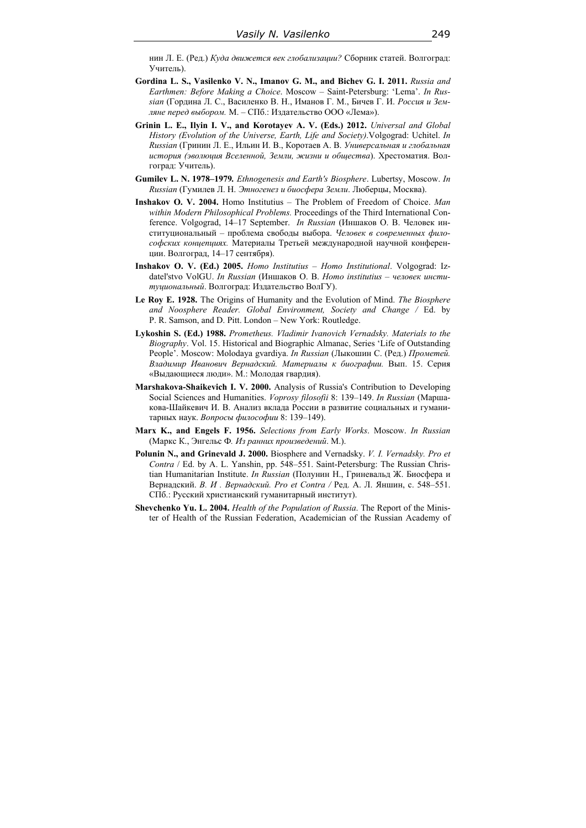нин Л. Е. (Ред.) *Куда движется век глобализации?* Сборник статей. Волгоград: Учитель).

- **Gordina L. S., Vasilenko V. N., Imanov G. M., and Bichev G. I. 2011.** *Russia and Earthmen: Before Making a Choice*. Moscow – Saint-Petersburg: 'Lema'. *In Russian* (Гордина Л. С., Василенко В. Н., Иманов Г. М., Бичев Г. И. *Россия и Земляне перед выбором.* М. – СПб.: Издательство ООО «Лема»).
- **Grinin L. E., Ilyin I. V., and Korotayev A. V. (Eds.) 2012.** *Universal and Global History (Evolution of the Universe, Earth, Life and Society)*.Volgograd: Uchitel. *In Russian* (Гринин Л. Е., Ильин И. В., Коротаев А. В. *Универсальная и глобальная история (эволюция Вселенной, Земли, жизни и общества*). Хрестоматия. Волгоград: Учитель).
- **Gumilev L. N. 1978–1979***. Ethnogenesis and Earth's Biosphere*. Lubertsy, Moscow. *In Russian* (Гумилев Л. Н. *Этногенез и биосфера Земли*. Люберцы, Москва).
- **Inshakov O. V. 2004.** Homo Institutius The Problem of Freedom of Choice. *Man within Modern Philosophical Problems.* Proceedings of the Third International Conference. Volgograd, 14–17 September. *In Russian* (Иншаков О. В. Человек институциональный – проблема свободы выбора. *Человек в современных философских концепциях.* Материалы Третьей международной научной конференции. Волгоград, 14–17 сентября).
- **Inshakov O. V. (Ed.) 2005.** *Homo Institutius Homo Institutional*. Volgograd: Izdatel'stvo VolGU. *In Russian* (Иншаков О. В. *Homo institutius – человек институциональный*. Волгоград: Издательство ВолГУ).
- **Le Roy E. 1928.** The Origins of Humanity and the Evolution of Mind. *The Biosphere and Noosphere Reader. Global Environment, Society and Change /* Ed. by P. R. Samson, and D. Pitt. London – New York: Routledge.
- **Lykoshin S. (Ed.) 1988.** *Prometheus. Vladimir Ivanovich Vernadsky. Materials to the Biography*. Vol. 15. Historical and Biographic Almanac, Series 'Life of Outstanding People'. Moscow: Molodaya gvardiya. *In Russian* (Лыкошин С. (Ред.) *Прометей. Владимир Иванович Вернадский. Материалы к биографии.* Вып. 15. Серия «Выдающиеся люди». М.: Молодая гвардия).
- **Marshakova-Shaikevich I. V. 2000.** Analysis of Russia's Contribution to Developing Social Sciences and Humanities. *Voprosy filosofii* 8: 139–149. *In Russian* (Маршакова-Шайкевич И. В. Анализ вклада России в развитие социальных и гуманитарных наук. *Вопросы философии* 8: 139–149).
- **Marx K., and Engels F. 1956.** *Selections from Early Works*. Moscow. *In Russian* (Маркс К., Энгельс Ф*. Из ранних произведений*. М.).
- **Polunin N., and Grinevald J. 2000.** Biosphere and Vernadsky. *V. I. Vernadsky. Pro et Contra* / Ed. by A. L. Yanshin, pp. 548–551. Saint-Petersburg: The Russian Christian Humanitarian Institute. *In Russian* (Полунин Н., Гриневальд Ж. Биосфера и Вернадский. *В. И . Вернадский. Pro et Contra /* Ред. А. Л. Яншин, с. 548–551. CПб.: Русский христианский гуманитарный институт).
- **Shevchenko Yu. L. 2004.** *Health of the Population of Russia*. The Report of the Minister of Health of the Russian Federation, Academician of the Russian Academy of